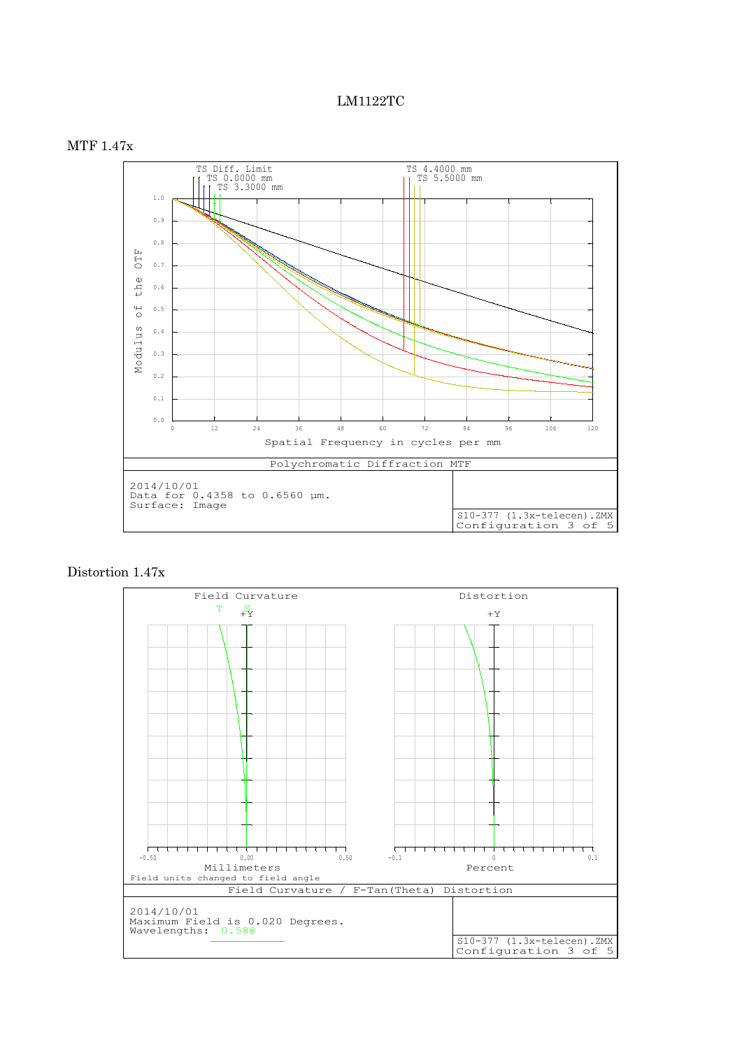## LM1122TC



## Distortion 1.47x

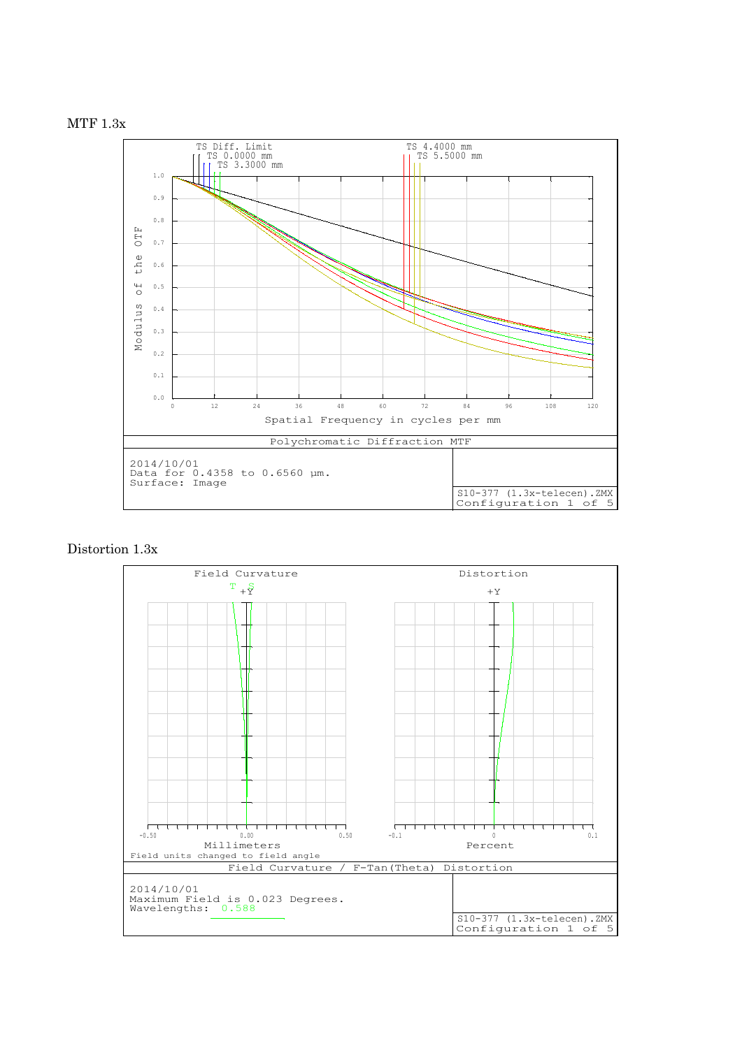



## Distortion 1.3x